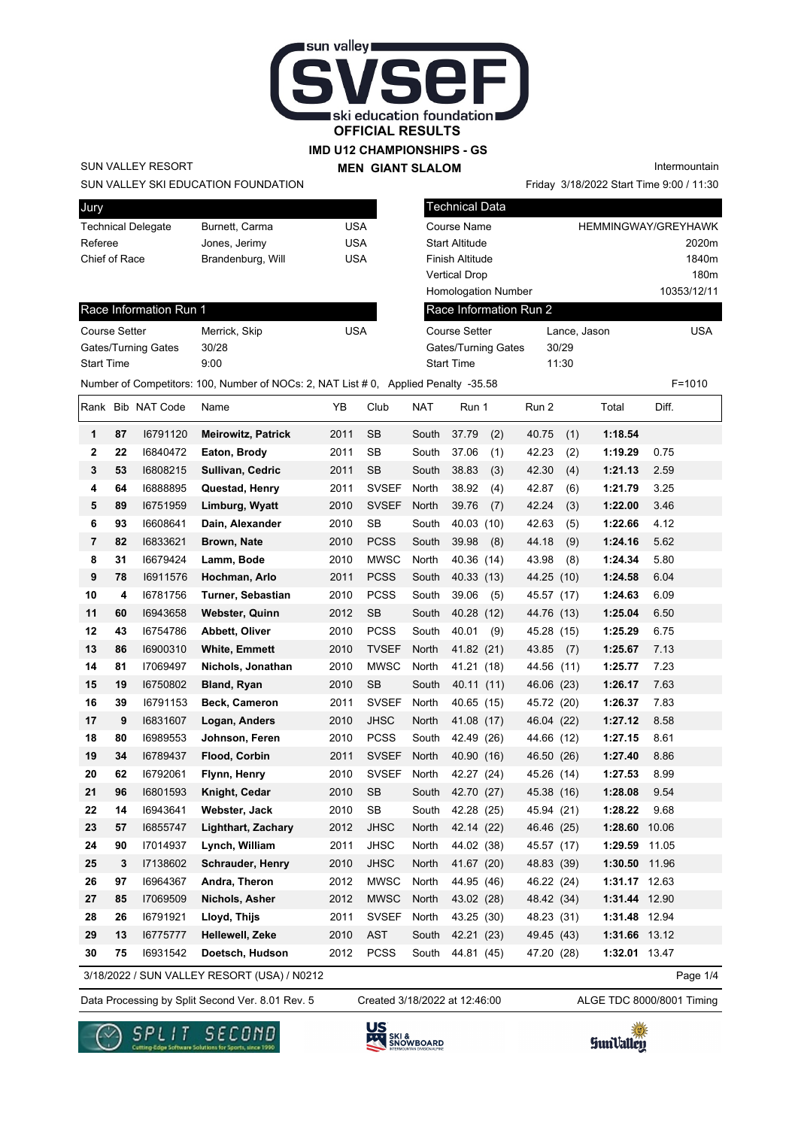

### **IMD U12 CHAMPIONSHIPS - GS MEN GIANT SLALOM**

SUN VALLEY RESORT

Jury

SUN VALLEY SKI EDUCATION FOUNDATION

|  | MEN VIAN VEALVIN |
|--|------------------|
|  |                  |
|  |                  |
|  |                  |

Technical Data

Intermountain

Friday 3/18/2022 Start Time 9:00 / 11:30

| Referee<br>Chief of Race<br>Course Setter |    | Technical Delegate<br>Race Information Run 1<br>Gates/Turning Gates | Burnett, Carma<br>Jones, Jerimy<br>Brandenburg, Will<br>Merrick, Skip<br>30/28              | USA<br><b>USA</b><br><b>USA</b><br><b>USA</b> |              |            | Course Name<br>Start Altitude<br>Finish Altitude<br><b>Vertical Drop</b><br><b>Homologation Number</b><br>Race Information Run 2<br><b>Course Setter</b><br>Gates/Turning Gates |            | Lance, Jason<br>30/29 | <b>HEMMINGWAY/GREYHAWK</b> | 10353/12/11 | 2020m<br>1840m<br>180m<br><b>USA</b> |
|-------------------------------------------|----|---------------------------------------------------------------------|---------------------------------------------------------------------------------------------|-----------------------------------------------|--------------|------------|---------------------------------------------------------------------------------------------------------------------------------------------------------------------------------|------------|-----------------------|----------------------------|-------------|--------------------------------------|
| Start Time                                |    |                                                                     | 9:00<br>Number of Competitors: 100, Number of NOCs: 2, NAT List # 0, Applied Penalty -35.58 |                                               |              |            | <b>Start Time</b>                                                                                                                                                               |            | 11:30                 |                            |             | $F = 1010$                           |
|                                           |    | Rank Bib NAT Code                                                   | Name                                                                                        | YB                                            | Club         | <b>NAT</b> | Run 1                                                                                                                                                                           | Run 2      |                       | Total                      | Diff.       |                                      |
| 1                                         | 87 | 16791120                                                            | <b>Meirowitz, Patrick</b>                                                                   | 2011                                          | <b>SB</b>    | South      | 37.79<br>(2)                                                                                                                                                                    | 40.75      | (1)                   | 1:18.54                    |             |                                      |
| 2                                         | 22 | 16840472                                                            | Eaton, Brody                                                                                | 2011                                          | SB           | South      | 37.06<br>(1)                                                                                                                                                                    | 42.23      | (2)                   | 1:19.29                    | 0.75        |                                      |
| 3                                         | 53 | 16808215                                                            | Sullivan, Cedric                                                                            | 2011                                          | <b>SB</b>    | South      | 38.83<br>(3)                                                                                                                                                                    | 42.30      | (4)                   | 1:21.13                    | 2.59        |                                      |
| 4                                         | 64 | 16888895                                                            | Questad, Henry                                                                              | 2011                                          | <b>SVSEF</b> | North      | 38.92<br>(4)                                                                                                                                                                    | 42.87      | (6)                   | 1:21.79                    | 3.25        |                                      |
| 5                                         | 89 | 16751959                                                            | Limburg, Wyatt                                                                              | 2010                                          | <b>SVSEF</b> | North      | 39.76<br>(7)                                                                                                                                                                    | 42.24      | (3)                   | 1:22.00                    | 3.46        |                                      |
| 6                                         | 93 | 16608641                                                            | Dain, Alexander                                                                             | 2010                                          | <b>SB</b>    | South      | 40.03 (10)                                                                                                                                                                      | 42.63      | (5)                   | 1:22.66                    | 4.12        |                                      |
| 7                                         | 82 | 16833621                                                            | Brown, Nate                                                                                 | 2010                                          | <b>PCSS</b>  | South      | 39.98<br>(8)                                                                                                                                                                    | 44.18      | (9)                   | 1:24.16                    | 5.62        |                                      |
| 8                                         | 31 | 16679424                                                            | Lamm, Bode                                                                                  | 2010                                          | <b>MWSC</b>  | North      | 40.36 (14)                                                                                                                                                                      | 43.98      | (8)                   | 1:24.34                    | 5.80        |                                      |
| 9                                         | 78 | 16911576                                                            | Hochman, Arlo                                                                               | 2011                                          | <b>PCSS</b>  | South      | 40.33 (13)                                                                                                                                                                      | 44.25 (10) |                       | 1:24.58                    | 6.04        |                                      |
| 10                                        | 4  | 16781756                                                            | Turner, Sebastian                                                                           | 2010                                          | <b>PCSS</b>  | South      | 39.06<br>(5)                                                                                                                                                                    | 45.57 (17) |                       | 1:24.63                    | 6.09        |                                      |
| 11                                        | 60 | 16943658                                                            | Webster, Quinn                                                                              | 2012                                          | SB           | South      | 40.28 (12)                                                                                                                                                                      | 44.76 (13) |                       | 1:25.04                    | 6.50        |                                      |
| 12                                        | 43 | 16754786                                                            | Abbett, Oliver                                                                              | 2010                                          | <b>PCSS</b>  | South      | 40.01<br>(9)                                                                                                                                                                    | 45.28 (15) |                       | 1:25.29                    | 6.75        |                                      |
| 13                                        | 86 | 16900310                                                            | <b>White, Emmett</b>                                                                        | 2010                                          | <b>TVSEF</b> | North      | 41.82 (21)                                                                                                                                                                      | 43.85      | (7)                   | 1:25.67                    | 7.13        |                                      |
| 14                                        | 81 | 17069497                                                            | Nichols, Jonathan                                                                           | 2010                                          | <b>MWSC</b>  | North      | 41.21 (18)                                                                                                                                                                      | 44.56 (11) |                       | 1:25.77                    | 7.23        |                                      |
| 15                                        | 19 | 16750802                                                            | Bland, Ryan                                                                                 | 2010                                          | <b>SB</b>    | South      | 40.11 (11)                                                                                                                                                                      | 46.06 (23) |                       | 1:26.17                    | 7.63        |                                      |
| 16                                        | 39 | 16791153                                                            | <b>Beck, Cameron</b>                                                                        | 2011                                          | <b>SVSEF</b> | North      | 40.65 (15)                                                                                                                                                                      | 45.72 (20) |                       | 1:26.37                    | 7.83        |                                      |
| 17                                        | 9  | 16831607                                                            | Logan, Anders                                                                               | 2010                                          | <b>JHSC</b>  | North      | 41.08 (17)                                                                                                                                                                      | 46.04 (22) |                       | 1:27.12                    | 8.58        |                                      |
| 18                                        | 80 | 16989553                                                            | Johnson, Feren                                                                              | 2010                                          | <b>PCSS</b>  | South      | 42.49 (26)                                                                                                                                                                      | 44.66 (12) |                       | 1:27.15                    | 8.61        |                                      |
| 19                                        | 34 | 16789437                                                            | Flood, Corbin                                                                               | 2011                                          | <b>SVSEF</b> | North      | 40.90 (16)                                                                                                                                                                      | 46.50 (26) |                       | 1:27.40                    | 8.86        |                                      |
| 20                                        | 62 | 16792061                                                            | Flynn, Henry                                                                                | 2010                                          | <b>SVSEF</b> | North      | 42.27 (24)                                                                                                                                                                      | 45.26 (14) |                       | 1:27.53                    | 8.99        |                                      |
| 21                                        | 96 | 16801593                                                            | Knight, Cedar                                                                               | 2010                                          | <b>SB</b>    | South      | 42.70 (27)                                                                                                                                                                      | 45.38 (16) |                       | 1:28.08                    | 9.54        |                                      |
| 22                                        | 14 | 16943641                                                            | Webster, Jack                                                                               | 2010                                          | SB           | South      | 42.28 (25)                                                                                                                                                                      | 45.94 (21) |                       | 1:28.22                    | 9.68        |                                      |
| 23                                        | 57 | 16855747                                                            | Lighthart, Zachary                                                                          | 2012                                          | <b>JHSC</b>  | North      | 42.14 (22)                                                                                                                                                                      | 46.46 (25) |                       | 1:28.60 10.06              |             |                                      |
| 24                                        | 90 | 17014937                                                            | Lynch, William                                                                              | 2011                                          | JHSC         | North      | 44.02 (38)                                                                                                                                                                      | 45.57 (17) |                       | 1:29.59                    | 11.05       |                                      |
| 25                                        | 3  | 17138602                                                            | <b>Schrauder, Henry</b>                                                                     | 2010                                          | <b>JHSC</b>  | North      | 41.67 (20)                                                                                                                                                                      | 48.83 (39) |                       | 1:30.50 11.96              |             |                                      |
| 26                                        | 97 | 16964367                                                            | Andra, Theron                                                                               | 2012                                          | <b>MWSC</b>  | North      | 44.95 (46)                                                                                                                                                                      | 46.22 (24) |                       | 1:31.17 12.63              |             |                                      |
| 27                                        | 85 | 17069509                                                            | Nichols, Asher                                                                              | 2012                                          | <b>MWSC</b>  | North      | 43.02 (28)                                                                                                                                                                      | 48.42 (34) |                       | 1:31.44 12.90              |             |                                      |
| 28                                        | 26 | 16791921                                                            | Lloyd, Thijs                                                                                | 2011                                          | <b>SVSEF</b> | North      | 43.25 (30)                                                                                                                                                                      | 48.23 (31) |                       | 1:31.48 12.94              |             |                                      |
| 29                                        | 13 | 16775777                                                            | Hellewell, Zeke                                                                             | 2010                                          | AST          | South      | 42.21 (23)                                                                                                                                                                      | 49.45 (43) |                       | 1:31.66 13.12              |             |                                      |
| 30                                        | 75 | 16931542                                                            | Doetsch, Hudson                                                                             | 2012                                          | <b>PCSS</b>  | South      | 44.81 (45)                                                                                                                                                                      | 47.20 (28) |                       | 1:32.01 13.47              |             |                                      |

3/18/2022 / SUN VALLEY RESORT (USA) / N0212

Created 3/18/2022 at 12:46:00

Page 1/4











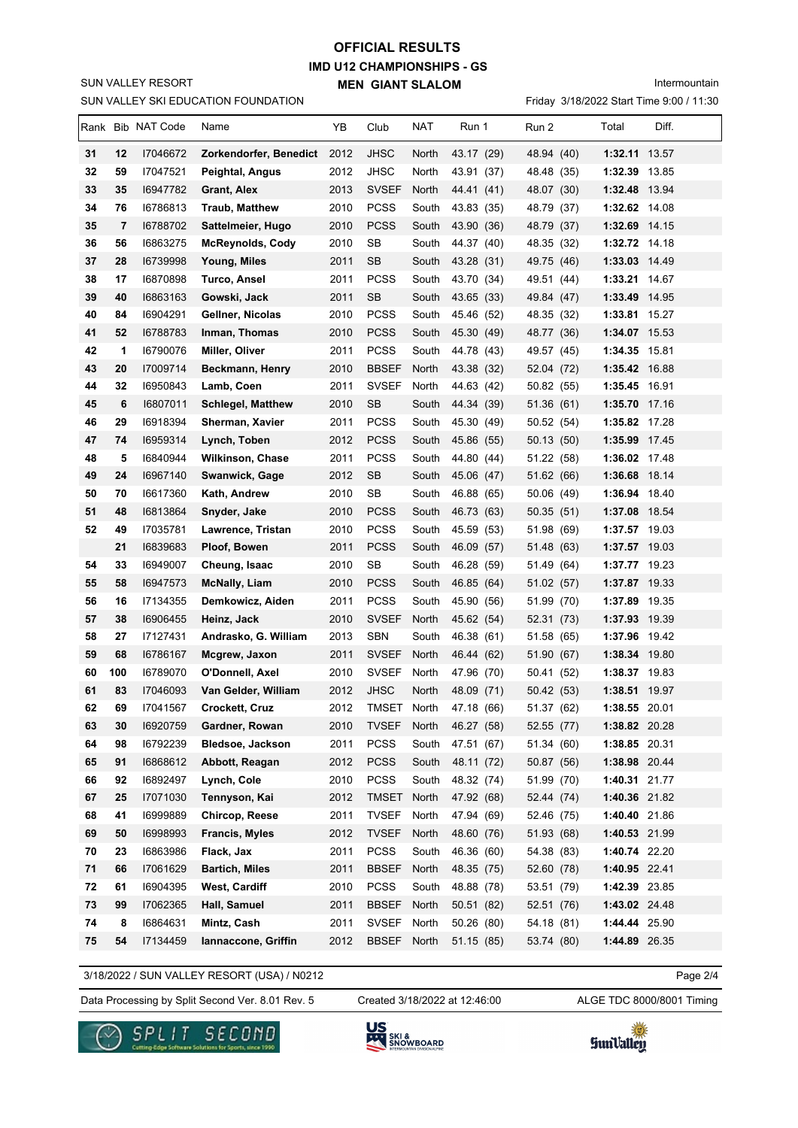SUN VALLEY SKI EDUCATION FOUNDATION SUN VALLEY RESORT

# **IMD U12 CHAMPIONSHIPS - GS MEN GIANT SLALOM OFFICIAL RESULTS**

Intermountain

Friday 3/18/2022 Start Time 9:00 / 11:30

|    |     | Rank Bib NAT Code | Name                     | YB   | Club         | NAT   | Run 1      | Run 2      | Total         | Diff. |
|----|-----|-------------------|--------------------------|------|--------------|-------|------------|------------|---------------|-------|
| 31 | 12  | 17046672          | Zorkendorfer, Benedict   | 2012 | <b>JHSC</b>  | North | 43.17 (29) | 48.94 (40) | 1:32.11 13.57 |       |
| 32 | 59  | 17047521          | Peightal, Angus          | 2012 | JHSC         | North | 43.91 (37) | 48.48 (35) | 1:32.39 13.85 |       |
| 33 | 35  | 16947782          | Grant, Alex              | 2013 | <b>SVSEF</b> | North | 44.41 (41) | 48.07 (30) | 1:32.48 13.94 |       |
| 34 | 76  | 16786813          | Traub, Matthew           | 2010 | <b>PCSS</b>  | South | 43.83 (35) | 48.79 (37) | 1:32.62 14.08 |       |
| 35 | 7   | 16788702          | Sattelmeier, Hugo        | 2010 | <b>PCSS</b>  | South | 43.90 (36) | 48.79 (37) | 1:32.69 14.15 |       |
| 36 | 56  | 16863275          | <b>McReynolds, Cody</b>  | 2010 | <b>SB</b>    | South | 44.37 (40) | 48.35 (32) | 1:32.72 14.18 |       |
| 37 | 28  | 16739998          | Young, Miles             | 2011 | <b>SB</b>    | South | 43.28 (31) | 49.75 (46) | 1:33.03 14.49 |       |
| 38 | 17  | 16870898          | Turco, Ansel             | 2011 | <b>PCSS</b>  | South | 43.70 (34) | 49.51 (44) | 1:33.21 14.67 |       |
| 39 | 40  | 16863163          | Gowski, Jack             | 2011 | <b>SB</b>    | South | 43.65 (33) | 49.84 (47) | 1:33.49 14.95 |       |
| 40 | 84  | 16904291          | Gellner, Nicolas         | 2010 | <b>PCSS</b>  | South | 45.46 (52) | 48.35 (32) | 1:33.81 15.27 |       |
| 41 | 52  | 16788783          | Inman, Thomas            | 2010 | <b>PCSS</b>  | South | 45.30 (49) | 48.77 (36) | 1:34.07 15.53 |       |
| 42 | 1   | 16790076          | Miller, Oliver           | 2011 | <b>PCSS</b>  | South | 44.78 (43) | 49.57 (45) | 1:34.35 15.81 |       |
| 43 | 20  | 17009714          | Beckmann, Henry          | 2010 | <b>BBSEF</b> | North | 43.38 (32) | 52.04 (72) | 1:35.42 16.88 |       |
| 44 | 32  | 16950843          | Lamb, Coen               | 2011 | <b>SVSEF</b> | North | 44.63 (42) | 50.82 (55) | 1:35.45 16.91 |       |
| 45 | 6   | 16807011          | <b>Schlegel, Matthew</b> | 2010 | <b>SB</b>    | South | 44.34 (39) | 51.36 (61) | 1:35.70 17.16 |       |
| 46 | 29  | 16918394          | Sherman, Xavier          | 2011 | <b>PCSS</b>  | South | 45.30 (49) | 50.52 (54) | 1:35.82 17.28 |       |
| 47 | 74  | 16959314          | Lynch, Toben             | 2012 | <b>PCSS</b>  | South | 45.86 (55) | 50.13 (50) | 1:35.99 17.45 |       |
| 48 | 5   | 16840944          | <b>Wilkinson, Chase</b>  | 2011 | <b>PCSS</b>  | South | 44.80 (44) | 51.22 (58) | 1:36.02 17.48 |       |
| 49 | 24  | 16967140          | Swanwick, Gage           | 2012 | <b>SB</b>    | South | 45.06 (47) | 51.62 (66) | 1:36.68 18.14 |       |
| 50 | 70  | 16617360          | Kath, Andrew             | 2010 | SB           | South | 46.88 (65) | 50.06 (49) | 1:36.94 18.40 |       |
| 51 | 48  | 16813864          | Snyder, Jake             | 2010 | <b>PCSS</b>  | South | 46.73 (63) | 50.35(51)  | 1:37.08 18.54 |       |
| 52 | 49  | 17035781          | Lawrence, Tristan        | 2010 | <b>PCSS</b>  | South | 45.59 (53) | 51.98 (69) | 1:37.57 19.03 |       |
|    | 21  | 16839683          | Ploof, Bowen             | 2011 | <b>PCSS</b>  | South | 46.09 (57) | 51.48 (63) | 1:37.57 19.03 |       |
| 54 | 33  | 16949007          | Cheung, Isaac            | 2010 | <b>SB</b>    | South | 46.28 (59) | 51.49 (64) | 1:37.77 19.23 |       |
| 55 | 58  | 16947573          | <b>McNally, Liam</b>     | 2010 | <b>PCSS</b>  | South | 46.85 (64) | 51.02 (57) | 1:37.87 19.33 |       |
| 56 | 16  | I7134355          | Demkowicz, Aiden         | 2011 | <b>PCSS</b>  | South | 45.90 (56) | 51.99 (70) | 1:37.89 19.35 |       |
| 57 | 38  | 16906455          | Heinz, Jack              | 2010 | <b>SVSEF</b> | North | 45.62 (54) | 52.31 (73) | 1:37.93 19.39 |       |
| 58 | 27  | 17127431          | Andrasko, G. William     | 2013 | <b>SBN</b>   | South | 46.38 (61) | 51.58 (65) | 1:37.96 19.42 |       |
| 59 | 68  | 16786167          | Mcgrew, Jaxon            | 2011 | <b>SVSEF</b> | North | 46.44 (62) | 51.90 (67) | 1:38.34 19.80 |       |
| 60 | 100 | 16789070          | O'Donnell, Axel          | 2010 | <b>SVSEF</b> | North | 47.96 (70) | 50.41 (52) | 1:38.37 19.83 |       |
| 61 | 83  | 17046093          | Van Gelder, William      | 2012 | <b>JHSC</b>  | North | 48.09 (71) | 50.42 (53) | 1:38.51 19.97 |       |
| 62 | 69  | 17041567          | Crockett, Cruz           | 2012 | TMSET North  |       | 47.18 (66) | 51.37 (62) | 1:38.55 20.01 |       |
| 63 | 30  | 16920759          | Gardner, Rowan           | 2010 | TVSEF        | North | 46.27 (58) | 52.55 (77) | 1:38.82 20.28 |       |
| 64 | 98  | 16792239          | Bledsoe, Jackson         | 2011 | <b>PCSS</b>  | South | 47.51 (67) | 51.34 (60) | 1:38.85 20.31 |       |
| 65 | 91  | 16868612          | Abbott, Reagan           | 2012 | <b>PCSS</b>  | South | 48.11 (72) | 50.87 (56) | 1:38.98 20.44 |       |
| 66 | 92  | 16892497          | Lynch, Cole              | 2010 | <b>PCSS</b>  | South | 48.32 (74) | 51.99 (70) | 1:40.31 21.77 |       |
| 67 | 25  | 17071030          | Tennyson, Kai            | 2012 | <b>TMSET</b> | North | 47.92 (68) | 52.44 (74) | 1:40.36 21.82 |       |
| 68 | 41  | 16999889          | Chircop, Reese           | 2011 | <b>TVSEF</b> | North | 47.94 (69) | 52.46 (75) | 1:40.40 21.86 |       |
| 69 | 50  | 16998993          | Francis, Myles           | 2012 | <b>TVSEF</b> | North | 48.60 (76) | 51.93 (68) | 1:40.53 21.99 |       |
| 70 | 23  | 16863986          | Flack, Jax               | 2011 | <b>PCSS</b>  | South | 46.36 (60) | 54.38 (83) | 1:40.74 22.20 |       |
| 71 | 66  | 17061629          | <b>Bartich, Miles</b>    | 2011 | <b>BBSEF</b> | North | 48.35 (75) | 52.60 (78) | 1:40.95 22.41 |       |
| 72 | 61  | 16904395          | West, Cardiff            | 2010 | <b>PCSS</b>  | South | 48.88 (78) | 53.51 (79) | 1:42.39 23.85 |       |
| 73 | 99  | 17062365          | Hall, Samuel             | 2011 | <b>BBSEF</b> | North | 50.51 (82) | 52.51 (76) | 1:43.02 24.48 |       |
| 74 | 8   | 16864631          | Mintz, Cash              | 2011 | <b>SVSEF</b> | North | 50.26 (80) | 54.18 (81) | 1:44.44 25.90 |       |
| 75 | 54  | 17134459          | lannaccone, Griffin      | 2012 | <b>BBSEF</b> | North | 51.15 (85) | 53.74 (80) | 1:44.89 26.35 |       |

3/18/2022 / SUN VALLEY RESORT (USA) / N0212

Data Processing by Split Second Ver. 8.01 Rev. 5 Created 3/18/2022 at 12:46:00 ALGE TDC 8000/8001 Timing

Created 3/18/2022 at 12:46:00

Page 2/4





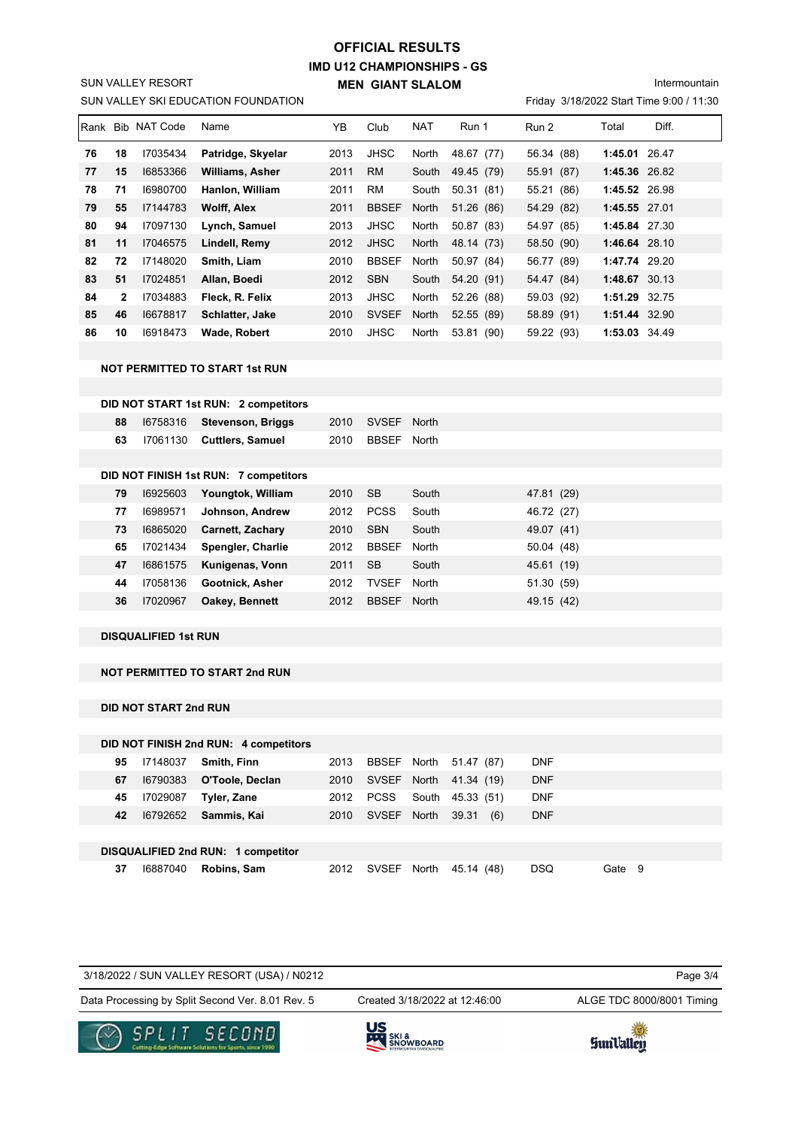## **IMD U12 CHAMPIONSHIPS - GS MEN GIANT SLALOM OFFICIAL RESULTS**

Intermountain

Friday 3/18/2022 Start Time 9:00 / 11:30

| Rank |              | <b>Bib NAT Code</b> | Name                   | YΒ   | Club         | <b>NAT</b> | Run 1      | Run 2      | Total         | Diff. |
|------|--------------|---------------------|------------------------|------|--------------|------------|------------|------------|---------------|-------|
| 76   | 18           | 17035434            | Patridge, Skyelar      | 2013 | <b>JHSC</b>  | North      | 48.67 (77) | 56.34 (88) | 1:45.01 26.47 |       |
| 77   | 15           | 16853366            | <b>Williams, Asher</b> | 2011 | <b>RM</b>    | South      | 49.45 (79) | 55.91 (87) | 1:45.36 26.82 |       |
| 78   | 71           | 16980700            | Hanlon, William        | 2011 | <b>RM</b>    | South      | 50.31 (81) | 55.21 (86) | 1:45.52 26.98 |       |
| 79   | 55           | 17144783            | <b>Wolff, Alex</b>     | 2011 | <b>BBSEF</b> | North      | 51.26 (86) | 54.29 (82) | 1:45.55 27.01 |       |
| 80   | 94           | 17097130            | Lynch, Samuel          | 2013 | <b>JHSC</b>  | North      | 50.87 (83) | 54.97 (85) | 1:45.84 27.30 |       |
| 81   | 11           | 17046575            | Lindell, Remy          | 2012 | <b>JHSC</b>  | North      | 48.14 (73) | 58.50 (90) | 1:46.64 28.10 |       |
| 82   | 72           | 17148020            | Smith, Liam            | 2010 | <b>BBSEF</b> | North      | 50.97 (84) | 56.77 (89) | 1:47.74 29.20 |       |
| 83   | 51           | 17024851            | Allan, Boedi           | 2012 | <b>SBN</b>   | South      | 54.20 (91) | 54.47 (84) | 1:48.67 30.13 |       |
| 84   | $\mathbf{2}$ | 17034883            | Fleck, R. Felix        | 2013 | <b>JHSC</b>  | North      | 52.26 (88) | 59.03 (92) | 1:51.29 32.75 |       |
| 85   | 46           | 16678817            | Schlatter, Jake        | 2010 | <b>SVSEF</b> | North      | 52.55 (89) | 58.89 (91) | 1:51.44 32.90 |       |
| 86   | 10           | 16918473            | Wade, Robert           | 2010 | <b>JHSC</b>  | North      | 53.81 (90) | 59.22 (93) | 1:53.03 34.49 |       |

### **NOT PERMITTED TO START 1st RUN**

SUN VALLEY SKI EDUCATION FOUNDATION

SUN VALLEY RESORT

## **DID NOT START 1st RUN: 2 competitors**

| 88 | 16758316 | <b>Stevenson, Briggs</b>              | 2010 | <b>SVSEF</b> | North |            |
|----|----------|---------------------------------------|------|--------------|-------|------------|
| 63 | 17061130 | <b>Cuttlers, Samuel</b>               | 2010 | <b>BBSEF</b> | North |            |
|    |          |                                       |      |              |       |            |
|    |          | DID NOT FINISH 1st RUN: 7 competitors |      |              |       |            |
| 79 | 16925603 | Youngtok, William                     | 2010 | SB.          | South | 47.81 (29) |
| 77 | 16989571 | Johnson, Andrew                       | 2012 | <b>PCSS</b>  | South | 46.72 (27) |
| 73 | 16865020 | <b>Carnett, Zachary</b>               | 2010 | <b>SBN</b>   | South | 49.07 (41) |
| 65 | 17021434 | Spengler, Charlie                     | 2012 | <b>BBSEF</b> | North | 50.04 (48) |
| 47 | 16861575 | Kunigenas, Vonn                       | 2011 | <b>SB</b>    | South | 45.61 (19) |
| 44 | 17058136 | Gootnick, Asher                       | 2012 | <b>TVSEF</b> | North | 51.30 (59) |
| 36 | 17020967 | Oakey, Bennett                        | 2012 | <b>BBSEF</b> | North | 49.15 (42) |

### **DISQUALIFIED 1st RUN**

### **NOT PERMITTED TO START 2nd RUN**

### **DID NOT START 2nd RUN**

|    |          | DID NOT FINISH 2nd RUN: 4 competitors |      |              |       |              |            |      |    |
|----|----------|---------------------------------------|------|--------------|-------|--------------|------------|------|----|
| 95 | 17148037 | Smith, Finn                           | 2013 | BBSEF North  |       | 51.47 (87)   | <b>DNF</b> |      |    |
| 67 | 16790383 | O'Toole, Declan                       | 2010 | SVSEF        | North | 41.34 (19)   | <b>DNF</b> |      |    |
| 45 | 17029087 | Tyler, Zane                           | 2012 | <b>PCSS</b>  | South | 45.33 (51)   | <b>DNF</b> |      |    |
| 42 | 16792652 | Sammis, Kai                           | 2010 | <b>SVSEF</b> | North | 39.31<br>(6) | <b>DNF</b> |      |    |
|    |          |                                       |      |              |       |              |            |      |    |
|    |          | DISQUALIFIED 2nd RUN: 1 competitor    |      |              |       |              |            |      |    |
| 37 | 16887040 | Robins, Sam                           | 2012 | SVSEF        | North | 45.14 (48)   | <b>DSQ</b> | Gate | -9 |

|                           | ---                                                                               |
|---------------------------|-----------------------------------------------------------------------------------|
| ALGE TDC 8000/8001 Timing | Data Processing by Split Second Ver. 8.01 Rev. 5<br>Created 3/18/2022 at 12:46:00 |
| Page 3/4                  | 3/18/2022 / SUN VALLEY RESORT (USA) / N0212                                       |
|                           |                                                                                   |